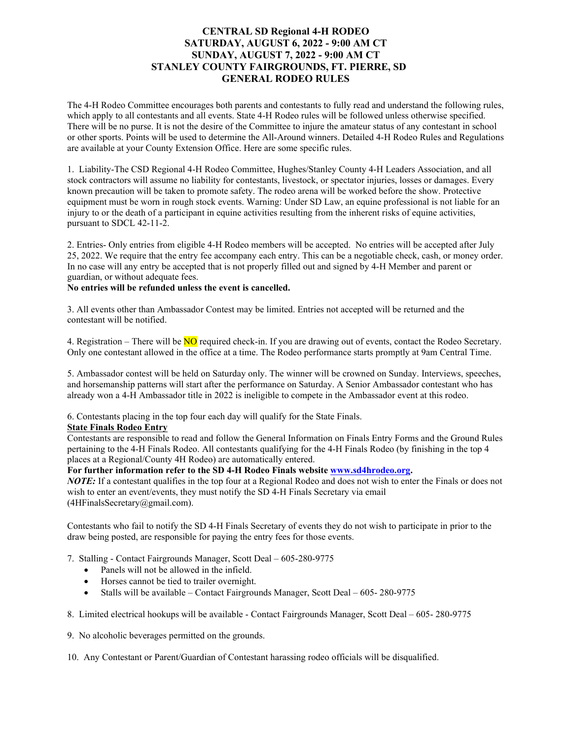## **CENTRAL SD Regional 4-H RODEO SATURDAY, AUGUST 6, 2022 - 9:00 AM CT SUNDAY, AUGUST 7, 2022 - 9:00 AM CT STANLEY COUNTY FAIRGROUNDS, FT. PIERRE, SD GENERAL RODEO RULES**

The 4-H Rodeo Committee encourages both parents and contestants to fully read and understand the following rules, which apply to all contestants and all events. State 4-H Rodeo rules will be followed unless otherwise specified. There will be no purse. It is not the desire of the Committee to injure the amateur status of any contestant in school or other sports. Points will be used to determine the All-Around winners. Detailed 4-H Rodeo Rules and Regulations are available at your County Extension Office. Here are some specific rules.

1. Liability-The CSD Regional 4-H Rodeo Committee, Hughes/Stanley County 4-H Leaders Association, and all stock contractors will assume no liability for contestants, livestock, or spectator injuries, losses or damages. Every known precaution will be taken to promote safety. The rodeo arena will be worked before the show. Protective equipment must be worn in rough stock events. Warning: Under SD Law, an equine professional is not liable for an injury to or the death of a participant in equine activities resulting from the inherent risks of equine activities, pursuant to SDCL 42-11-2.

2. Entries- Only entries from eligible 4-H Rodeo members will be accepted. No entries will be accepted after July 25, 2022. We require that the entry fee accompany each entry. This can be a negotiable check, cash, or money order. In no case will any entry be accepted that is not properly filled out and signed by 4-H Member and parent or guardian, or without adequate fees.

## **No entries will be refunded unless the event is cancelled.**

3. All events other than Ambassador Contest may be limited. Entries not accepted will be returned and the contestant will be notified.

4. Registration – There will be  $\overline{NO}$  required check-in. If you are drawing out of events, contact the Rodeo Secretary. Only one contestant allowed in the office at a time. The Rodeo performance starts promptly at 9am Central Time.

5. Ambassador contest will be held on Saturday only. The winner will be crowned on Sunday. Interviews, speeches, and horsemanship patterns will start after the performance on Saturday. A Senior Ambassador contestant who has already won a 4-H Ambassador title in 2022 is ineligible to compete in the Ambassador event at this rodeo.

6. Contestants placing in the top four each day will qualify for the State Finals.

## **State Finals Rodeo Entry**

Contestants are responsible to read and follow the General Information on Finals Entry Forms and the Ground Rules pertaining to the 4-H Finals Rodeo. All contestants qualifying for the 4-H Finals Rodeo (by finishing in the top 4 places at a Regional/County 4H Rodeo) are automatically entered.

## **For further information refer to the SD 4-H Rodeo Finals website [www.sd4hrodeo.org.](file://STATE.SD.LOCAL/HOME/IT/itpr16247/Documents/Karrie/2016%20CSD%204-H%20Rodeo/www.sd4hrodeo.org)**

*NOTE:* If a contestant qualifies in the top four at a Regional Rodeo and does not wish to enter the Finals or does not wish to enter an event/events, they must notify the SD 4-H Finals Secretary via email (4HFinalsSecretary@gmail.com).

Contestants who fail to notify the SD 4-H Finals Secretary of events they do not wish to participate in prior to the draw being posted, are responsible for paying the entry fees for those events.

### 7. Stalling - Contact Fairgrounds Manager, Scott Deal – 605-280-9775

- Panels will not be allowed in the infield.
- Horses cannot be tied to trailer overnight.
- Stalls will be available Contact Fairgrounds Manager, Scott Deal 605-280-9775

8. Limited electrical hookups will be available - Contact Fairgrounds Manager, Scott Deal – 605- 280-9775

9. No alcoholic beverages permitted on the grounds.

10. Any Contestant or Parent/Guardian of Contestant harassing rodeo officials will be disqualified.